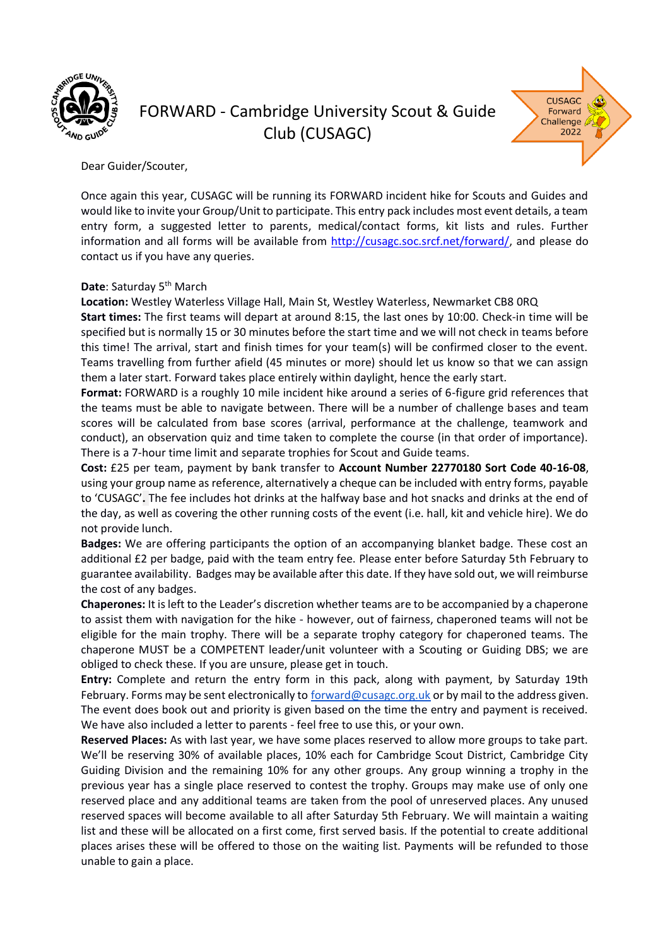

# FORWARD - Cambridge University Scout & Guide Club (CUSAGC)



Dear Guider/Scouter,

Once again this year, CUSAGC will be running its FORWARD incident hike for Scouts and Guides and would like to invite your Group/Unit to participate. This entry pack includes most event details, a team entry form, a suggested letter to parents, medical/contact forms, kit lists and rules. Further information and all forms will be available from [http://cusagc.soc.srcf.net/forward/,](http://cusagc.soc.srcf.net/forward/) and please do contact us if you have any queries.

#### Date: Saturday 5<sup>th</sup> March

**Location:** Westley Waterless Village Hall, Main St, Westley Waterless, Newmarket CB8 0RQ

**Start times:** The first teams will depart at around 8:15, the last ones by 10:00. Check-in time will be specified but is normally 15 or 30 minutes before the start time and we will not check in teams before this time! The arrival, start and finish times for your team(s) will be confirmed closer to the event. Teams travelling from further afield (45 minutes or more) should let us know so that we can assign them a later start. Forward takes place entirely within daylight, hence the early start.

**Format:** FORWARD is a roughly 10 mile incident hike around a series of 6-figure grid references that the teams must be able to navigate between. There will be a number of challenge bases and team scores will be calculated from base scores (arrival, performance at the challenge, teamwork and conduct), an observation quiz and time taken to complete the course (in that order of importance). There is a 7-hour time limit and separate trophies for Scout and Guide teams.

**Cost:** £25 per team, payment by bank transfer to **Account Number 22770180 Sort Code 40-16-08**, using your group name as reference, alternatively a cheque can be included with entry forms, payable to 'CUSAGC'**.** The fee includes hot drinks at the halfway base and hot snacks and drinks at the end of the day, as well as covering the other running costs of the event (i.e. hall, kit and vehicle hire). We do not provide lunch.

**Badges:** We are offering participants the option of an accompanying blanket badge. These cost an additional £2 per badge, paid with the team entry fee. Please enter before Saturday 5th February to guarantee availability. Badges may be available after this date. If they have sold out, we will reimburse the cost of any badges.

**Chaperones:** It is left to the Leader's discretion whether teams are to be accompanied by a chaperone to assist them with navigation for the hike - however, out of fairness, chaperoned teams will not be eligible for the main trophy. There will be a separate trophy category for chaperoned teams. The chaperone MUST be a COMPETENT leader/unit volunteer with a Scouting or Guiding DBS; we are obliged to check these. If you are unsure, please get in touch.

**Entry:** Complete and return the entry form in this pack, along with payment, by Saturday 19th February. Forms may be sent electronically to [forward@cusagc.org.uk](mailto:forward@cusagc.org.uk) or by mail to the address given. The event does book out and priority is given based on the time the entry and payment is received. We have also included a letter to parents - feel free to use this, or your own.

**Reserved Places:** As with last year, we have some places reserved to allow more groups to take part. We'll be reserving 30% of available places, 10% each for Cambridge Scout District, Cambridge City Guiding Division and the remaining 10% for any other groups. Any group winning a trophy in the previous year has a single place reserved to contest the trophy. Groups may make use of only one reserved place and any additional teams are taken from the pool of unreserved places. Any unused reserved spaces will become available to all after Saturday 5th February. We will maintain a waiting list and these will be allocated on a first come, first served basis. If the potential to create additional places arises these will be offered to those on the waiting list. Payments will be refunded to those unable to gain a place.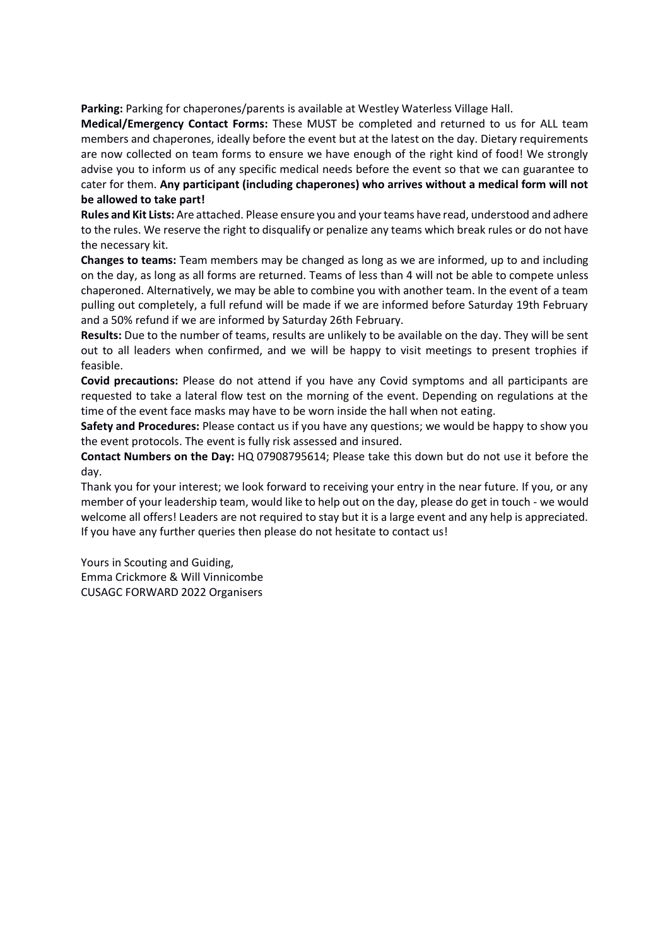**Parking:** Parking for chaperones/parents is available at Westley Waterless Village Hall.

**Medical/Emergency Contact Forms:** These MUST be completed and returned to us for ALL team members and chaperones, ideally before the event but at the latest on the day. Dietary requirements are now collected on team forms to ensure we have enough of the right kind of food! We strongly advise you to inform us of any specific medical needs before the event so that we can guarantee to cater for them. **Any participant (including chaperones) who arrives without a medical form will not be allowed to take part!**

**Rules and Kit Lists:** Are attached. Please ensure you and your teams have read, understood and adhere to the rules. We reserve the right to disqualify or penalize any teams which break rules or do not have the necessary kit.

**Changes to teams:** Team members may be changed as long as we are informed, up to and including on the day, as long as all forms are returned. Teams of less than 4 will not be able to compete unless chaperoned. Alternatively, we may be able to combine you with another team. In the event of a team pulling out completely, a full refund will be made if we are informed before Saturday 19th February and a 50% refund if we are informed by Saturday 26th February.

**Results:** Due to the number of teams, results are unlikely to be available on the day. They will be sent out to all leaders when confirmed, and we will be happy to visit meetings to present trophies if feasible.

**Covid precautions:** Please do not attend if you have any Covid symptoms and all participants are requested to take a lateral flow test on the morning of the event. Depending on regulations at the time of the event face masks may have to be worn inside the hall when not eating.

**Safety and Procedures:** Please contact us if you have any questions; we would be happy to show you the event protocols. The event is fully risk assessed and insured.

**Contact Numbers on the Day:** HQ 07908795614; Please take this down but do not use it before the day.

Thank you for your interest; we look forward to receiving your entry in the near future. If you, or any member of your leadership team, would like to help out on the day, please do get in touch - we would welcome all offers! Leaders are not required to stay but it is a large event and any help is appreciated. If you have any further queries then please do not hesitate to contact us!

Yours in Scouting and Guiding, Emma Crickmore & Will Vinnicombe CUSAGC FORWARD 2022 Organisers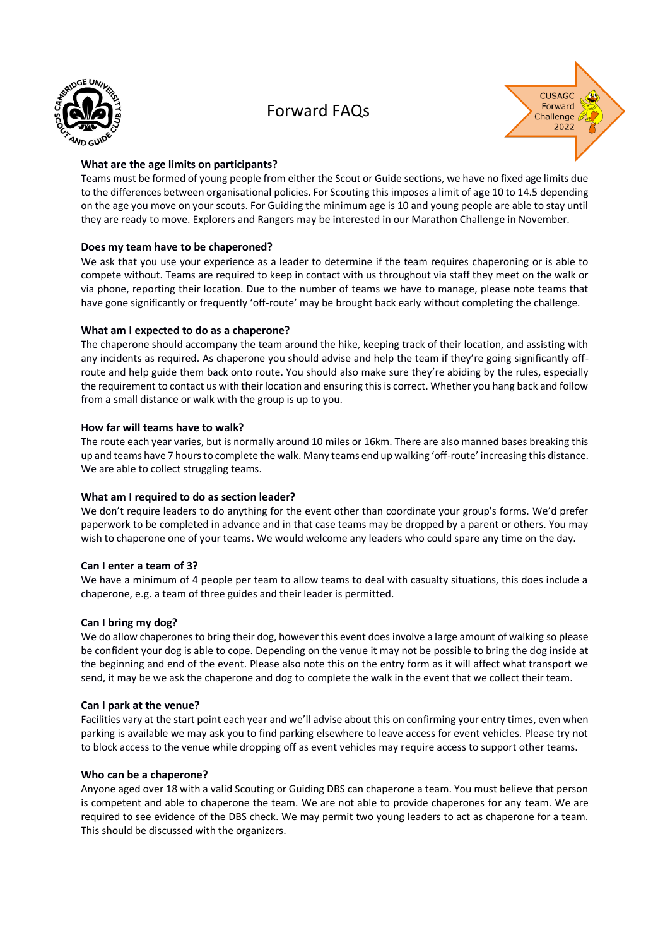

### Forward FAQs



#### **What are the age limits on participants?**

Teams must be formed of young people from either the Scout or Guide sections, we have no fixed age limits due to the differences between organisational policies. For Scouting this imposes a limit of age 10 to 14.5 depending on the age you move on your scouts. For Guiding the minimum age is 10 and young people are able to stay until they are ready to move. Explorers and Rangers may be interested in our Marathon Challenge in November.

#### **Does my team have to be chaperoned?**

We ask that you use your experience as a leader to determine if the team requires chaperoning or is able to compete without. Teams are required to keep in contact with us throughout via staff they meet on the walk or via phone, reporting their location. Due to the number of teams we have to manage, please note teams that have gone significantly or frequently 'off-route' may be brought back early without completing the challenge.

#### **What am I expected to do as a chaperone?**

The chaperone should accompany the team around the hike, keeping track of their location, and assisting with any incidents as required. As chaperone you should advise and help the team if they're going significantly offroute and help guide them back onto route. You should also make sure they're abiding by the rules, especially the requirement to contact us with their location and ensuring this is correct. Whether you hang back and follow from a small distance or walk with the group is up to you.

#### **How far will teams have to walk?**

The route each year varies, but is normally around 10 miles or 16km. There are also manned bases breaking this up and teams have 7 hours to complete the walk. Many teams end up walking 'off-route' increasing this distance. We are able to collect struggling teams.

#### **What am I required to do as section leader?**

We don't require leaders to do anything for the event other than coordinate your group's forms. We'd prefer paperwork to be completed in advance and in that case teams may be dropped by a parent or others. You may wish to chaperone one of your teams. We would welcome any leaders who could spare any time on the day.

#### **Can I enter a team of 3?**

We have a minimum of 4 people per team to allow teams to deal with casualty situations, this does include a chaperone, e.g. a team of three guides and their leader is permitted.

#### **Can I bring my dog?**

We do allow chaperones to bring their dog, however this event does involve a large amount of walking so please be confident your dog is able to cope. Depending on the venue it may not be possible to bring the dog inside at the beginning and end of the event. Please also note this on the entry form as it will affect what transport we send, it may be we ask the chaperone and dog to complete the walk in the event that we collect their team.

#### **Can I park at the venue?**

Facilities vary at the start point each year and we'll advise about this on confirming your entry times, even when parking is available we may ask you to find parking elsewhere to leave access for event vehicles. Please try not to block access to the venue while dropping off as event vehicles may require access to support other teams.

#### **Who can be a chaperone?**

Anyone aged over 18 with a valid Scouting or Guiding DBS can chaperone a team. You must believe that person is competent and able to chaperone the team. We are not able to provide chaperones for any team. We are required to see evidence of the DBS check. We may permit two young leaders to act as chaperone for a team. This should be discussed with the organizers.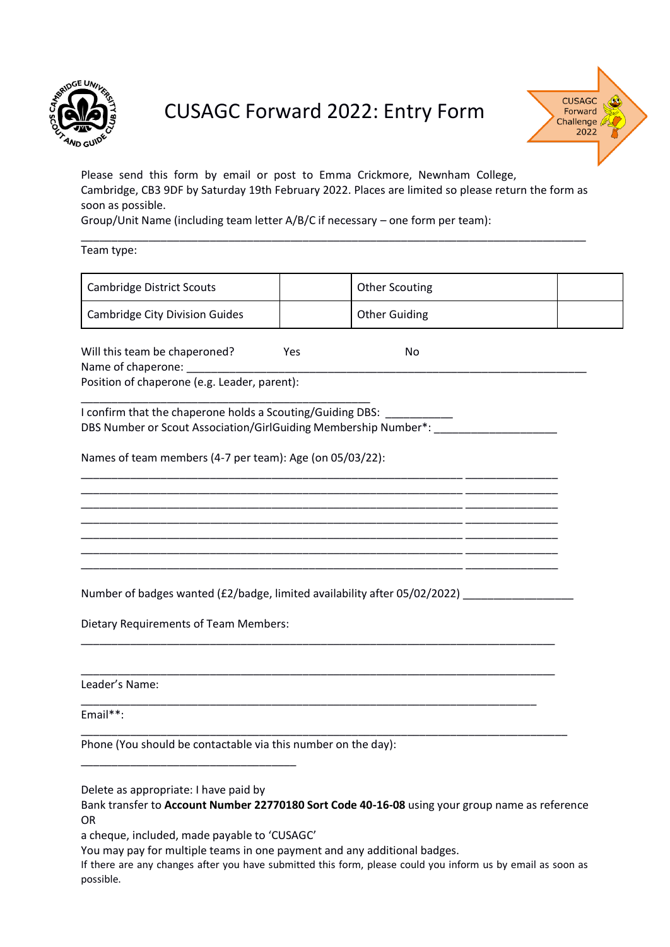

# CUSAGC Forward 2022: Entry Form



Please send this form by email or post to Emma Crickmore, Newnham College, Cambridge, CB3 9DF by Saturday 19th February 2022. Places are limited so please return the form as soon as possible.

\_\_\_\_\_\_\_\_\_\_\_\_\_\_\_\_\_\_\_\_\_\_\_\_\_\_\_\_\_\_\_\_\_\_\_\_\_\_\_\_\_\_\_\_\_\_\_\_\_\_\_\_\_\_\_\_\_\_\_\_\_\_\_\_\_\_\_\_\_\_\_\_\_\_\_\_\_\_\_\_\_\_

Group/Unit Name (including team letter A/B/C if necessary – one form per team):

Team type:

| <b>Cambridge District Scouts</b>                                                                                              |     | <b>Other Scouting</b> |  |
|-------------------------------------------------------------------------------------------------------------------------------|-----|-----------------------|--|
| <b>Cambridge City Division Guides</b>                                                                                         |     | <b>Other Guiding</b>  |  |
| Will this team be chaperoned?<br>Name of chaperone:<br>Position of chaperone (e.g. Leader, parent):                           | Yes | No                    |  |
| I confirm that the chaperone holds a Scouting/Guiding DBS:<br>DBS Number or Scout Association/GirlGuiding Membership Number*: |     |                       |  |
| Names of team members (4-7 per team): Age (on 05/03/22):                                                                      |     |                       |  |
|                                                                                                                               |     |                       |  |
|                                                                                                                               |     |                       |  |
|                                                                                                                               |     |                       |  |
| Number of badges wanted (£2/badge, limited availability after 05/02/2022)                                                     |     |                       |  |
| Dietary Requirements of Team Members:                                                                                         |     |                       |  |
|                                                                                                                               |     |                       |  |
| Leader's Name:                                                                                                                |     |                       |  |
| Email**:                                                                                                                      |     |                       |  |
| Phone (You should be contactable via this number on the day):                                                                 |     |                       |  |
|                                                                                                                               |     |                       |  |

Delete as appropriate: I have paid by

Bank transfer to **Account Number 22770180 Sort Code 40-16-08** using your group name as reference OR

a cheque, included, made payable to 'CUSAGC'

You may pay for multiple teams in one payment and any additional badges.

If there are any changes after you have submitted this form, please could you inform us by email as soon as possible.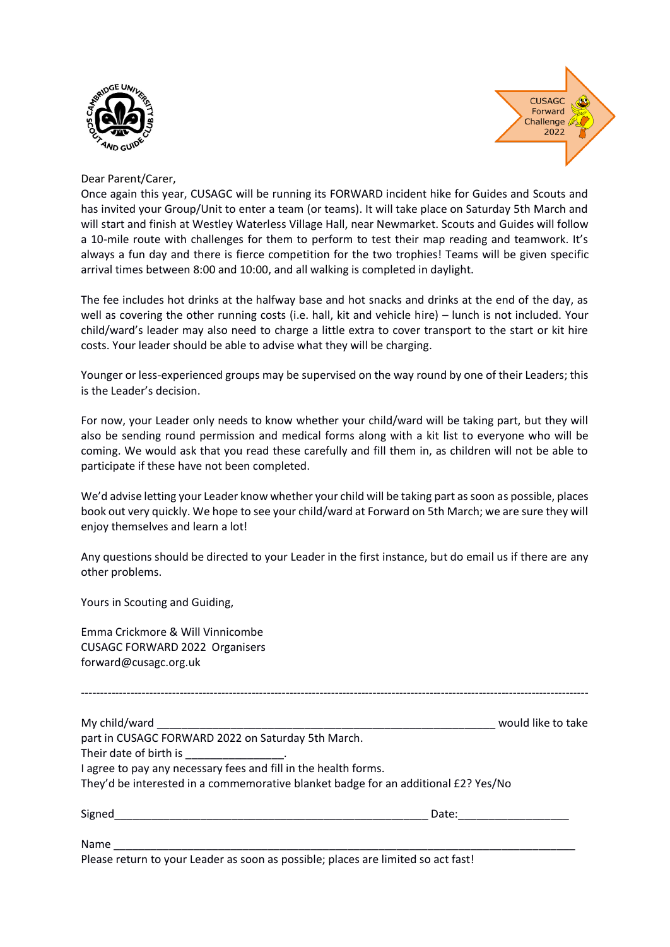



#### Dear Parent/Carer,

Once again this year, CUSAGC will be running its FORWARD incident hike for Guides and Scouts and has invited your Group/Unit to enter a team (or teams). It will take place on Saturday 5th March and will start and finish at Westley Waterless Village Hall, near Newmarket. Scouts and Guides will follow a 10-mile route with challenges for them to perform to test their map reading and teamwork. It's always a fun day and there is fierce competition for the two trophies! Teams will be given specific arrival times between 8:00 and 10:00, and all walking is completed in daylight.

The fee includes hot drinks at the halfway base and hot snacks and drinks at the end of the day, as well as covering the other running costs (i.e. hall, kit and vehicle hire) – lunch is not included. Your child/ward's leader may also need to charge a little extra to cover transport to the start or kit hire costs. Your leader should be able to advise what they will be charging.

Younger or less-experienced groups may be supervised on the way round by one of their Leaders; this is the Leader's decision.

For now, your Leader only needs to know whether your child/ward will be taking part, but they will also be sending round permission and medical forms along with a kit list to everyone who will be coming. We would ask that you read these carefully and fill them in, as children will not be able to participate if these have not been completed.

We'd advise letting your Leader know whether your child will be taking part as soon as possible, places book out very quickly. We hope to see your child/ward at Forward on 5th March; we are sure they will enjoy themselves and learn a lot!

Any questions should be directed to your Leader in the first instance, but do email us if there are any other problems.

Yours in Scouting and Guiding,

Emma Crickmore & Will Vinnicombe CUSAGC FORWARD 2022 Organisers forward@cusagc.org.uk

|                                                                                    | would like to take |
|------------------------------------------------------------------------------------|--------------------|
|                                                                                    |                    |
| part in CUSAGC FORWARD 2022 on Saturday 5th March.                                 |                    |
| Their date of birth is ________________.                                           |                    |
| I agree to pay any necessary fees and fill in the health forms.                    |                    |
| They'd be interested in a commemorative blanket badge for an additional £2? Yes/No |                    |
| Signed                                                                             | Date:              |
| Name                                                                               |                    |

Please return to your Leader as soon as possible; places are limited so act fast!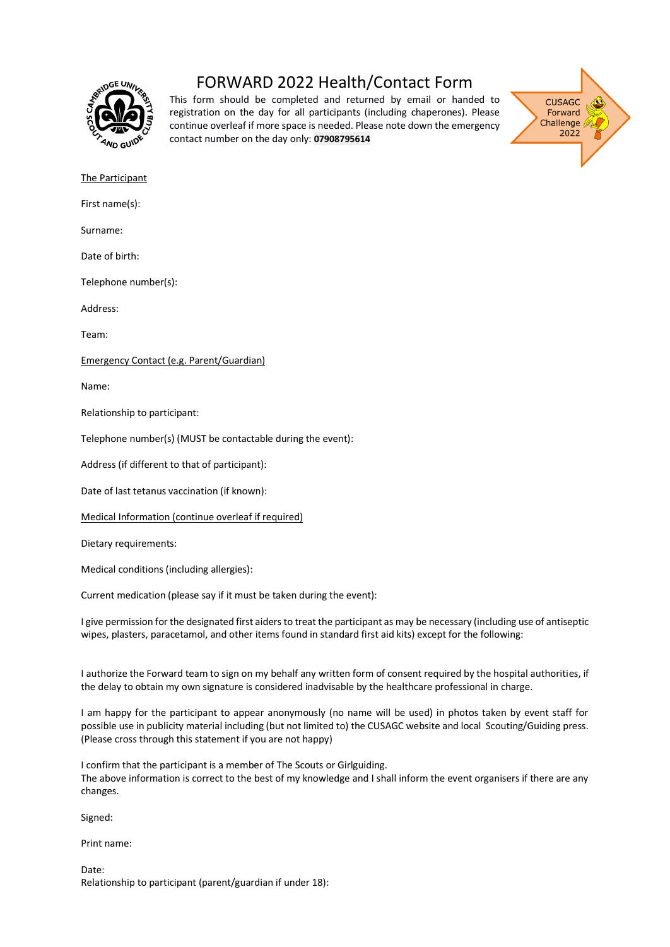

### FORWARD 2022 Health/Contact Form

This form should be completed and returned by email or handed to registration on the day for all participants (including chaperones). Please continue overleaf if more space is needed. Please note down the emergency contact number on the day only: **07908795614**



The Participant

First name(s):

Surname:

Date of birth:

Telephone number(s):

Address:

Team:

Emergency Contact (e.g. Parent/Guardian)

Name:

Relationship to participant:

Telephone number(s) (MUST be contactable during the event):

Address (if different to that of participant):

Date of last tetanus vaccination (if known):

Medical Information (continue overleaf if required)

Dietary requirements:

Medical conditions (including allergies):

Current medication (please say if it must be taken during the event):

I give permission for the designated first aiders to treat the participant as may be necessary (including use of antiseptic wipes, plasters, paracetamol, and other items found in standard first aid kits) except for the following:

I authorize the Forward team to sign on my behalf any written form of consent required by the hospital authorities, if the delay to obtain my own signature is considered inadvisable by the healthcare professional in charge.

I am happy for the participant to appear anonymously (no name will be used) in photos taken by event staff for possible use in publicity material including (but not limited to) the CUSAGC website and local Scouting/Guiding press. (Please cross through this statement if you are not happy)

I confirm that the participant is a member of The Scouts or Girlguiding. The above information is correct to the best of my knowledge and I shall inform the event organisers if there are any changes.

Signed:

Print name:

Date: Relationship to participant (parent/guardian if under 18):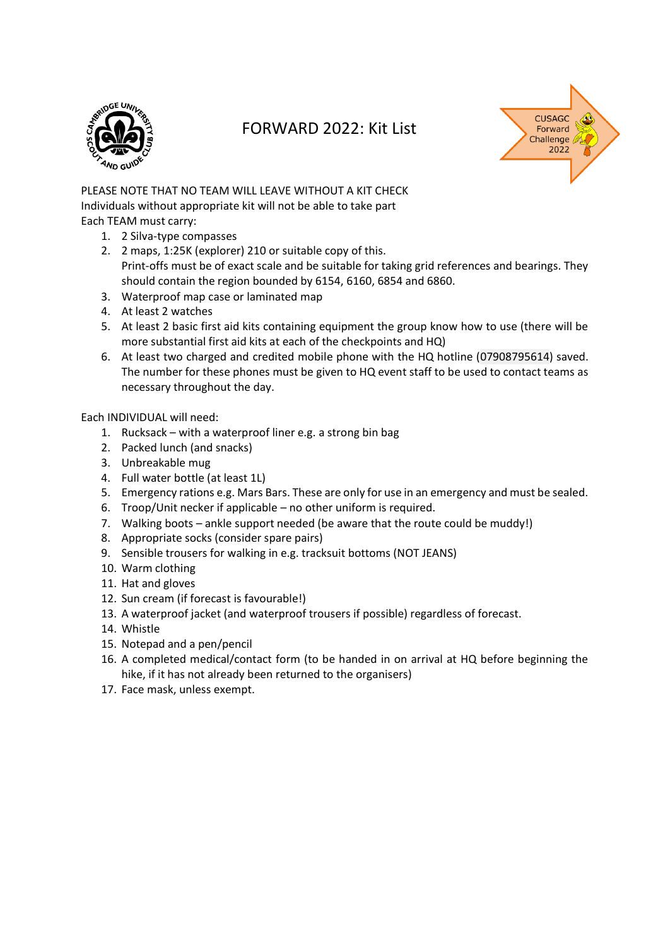

### FORWARD 2022: Kit List



PLEASE NOTE THAT NO TEAM WILL LEAVE WITHOUT A KIT CHECK Individuals without appropriate kit will not be able to take part Each TEAM must carry:

- 1. 2 Silva-type compasses
- 2. 2 maps, 1:25K (explorer) 210 or suitable copy of this. Print-offs must be of exact scale and be suitable for taking grid references and bearings. They should contain the region bounded by 6154, 6160, 6854 and 6860.
- 3. Waterproof map case or laminated map
- 4. At least 2 watches
- 5. At least 2 basic first aid kits containing equipment the group know how to use (there will be more substantial first aid kits at each of the checkpoints and HQ)
- 6. At least two charged and credited mobile phone with the HQ hotline (07908795614) saved. The number for these phones must be given to HQ event staff to be used to contact teams as necessary throughout the day.

#### Each INDIVIDUAL will need:

- 1. Rucksack with a waterproof liner e.g. a strong bin bag
- 2. Packed lunch (and snacks)
- 3. Unbreakable mug
- 4. Full water bottle (at least 1L)
- 5. Emergency rations e.g. Mars Bars. These are only for use in an emergency and must be sealed.
- 6. Troop/Unit necker if applicable no other uniform is required.
- 7. Walking boots ankle support needed (be aware that the route could be muddy!)
- 8. Appropriate socks (consider spare pairs)
- 9. Sensible trousers for walking in e.g. tracksuit bottoms (NOT JEANS)
- 10. Warm clothing
- 11. Hat and gloves
- 12. Sun cream (if forecast is favourable!)
- 13. A waterproof jacket (and waterproof trousers if possible) regardless of forecast.
- 14. Whistle
- 15. Notepad and a pen/pencil
- 16. A completed medical/contact form (to be handed in on arrival at HQ before beginning the hike, if it has not already been returned to the organisers)
- 17. Face mask, unless exempt.